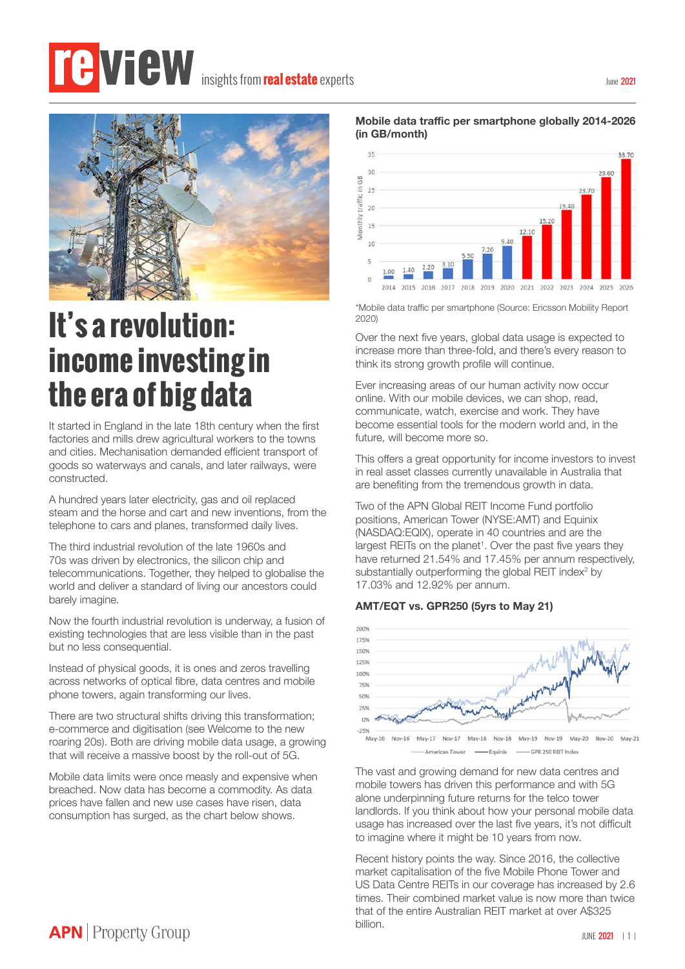# **insights from real estate** experts



## **It's a revolution: income investing in the era of big data**

It started in England in the late 18th century when the first factories and mills drew agricultural workers to the towns and cities. Mechanisation demanded efficient transport of goods so waterways and canals, and later railways, were constructed.

A hundred years later electricity, gas and oil replaced steam and the horse and cart and new inventions, from the telephone to cars and planes, transformed daily lives.

The third industrial revolution of the late 1960s and 70s was driven by electronics, the silicon chip and telecommunications. Together, they helped to globalise the world and deliver a standard of living our ancestors could barely imagine.

Now the fourth industrial revolution is underway, a fusion of existing technologies that are less visible than in the past but no less consequential.

Instead of physical goods, it is ones and zeros travelling across networks of optical fibre, data centres and mobile phone towers, again transforming our lives.

There are two structural shifts driving this transformation; e-commerce and digitisation (see Welcome to the new roaring 20s). Both are driving mobile data usage, a growing that will receive a massive boost by the roll-out of 5G.

Mobile data limits were once measly and expensive when breached. Now data has become a commodity. As data prices have fallen and new use cases have risen, data consumption has surged, as the chart below shows.





\*Mobile data traffic per smartphone (Source: Ericsson Mobility Report 2020)

Over the next five years, global data usage is expected to increase more than three-fold, and there's every reason to think its strong growth profile will continue.

Ever increasing areas of our human activity now occur online. With our mobile devices, we can shop, read, communicate, watch, exercise and work. They have become essential tools for the modern world and, in the future, will become more so.

This offers a great opportunity for income investors to invest in real asset classes currently unavailable in Australia that are benefiting from the tremendous growth in data.

Two of the APN Global REIT Income Fund portfolio positions, American Tower (NYSE:AMT) and Equinix (NASDAQ:EQIX), operate in 40 countries and are the largest REITs on the planet<sup>1</sup>. Over the past five years they have returned 21.54% and 17.45% per annum respectively, substantially outperforming the global REIT index<sup>2</sup> by 17.03% and 12.92% per annum.

#### **AMT/EQT vs. GPR250 (5yrs to May 21)**



The vast and growing demand for new data centres and mobile towers has driven this performance and with 5G alone underpinning future returns for the telco tower landlords. If you think about how your personal mobile data usage has increased over the last five years, it's not difficult to imagine where it might be 10 years from now.

Recent history points the way. Since 2016, the collective market capitalisation of the five Mobile Phone Tower and US Data Centre REITs in our coverage has increased by 2.6 times. Their combined market value is now more than twice that of the entire Australian REIT market at over A\$325 billion.